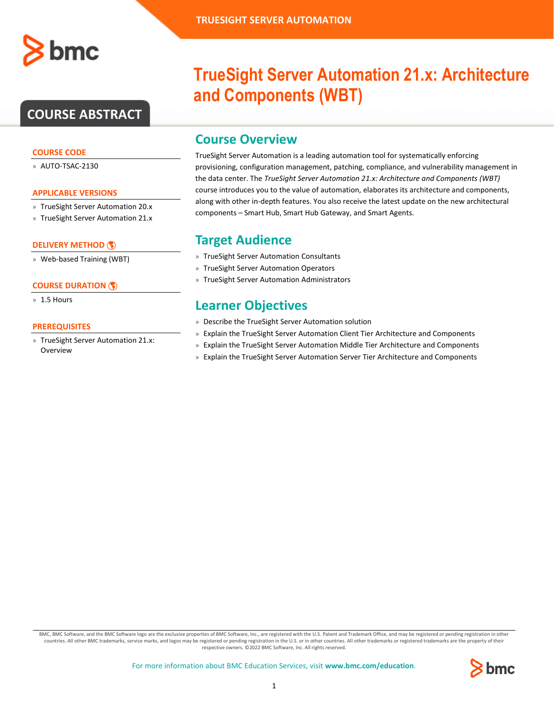

# **COURSE ABSTRACT**

### **COURSE CODE**

» AUTO-TSAC-2130

### **APPLICABLE VERSIONS**

- » TrueSight Server Automation 20.x
- » TrueSight Server Automation 21.x

### **[DELIVERY METHOD](http://www.bmc.com/education/modality.html)**

» Web-based Training (WBT)

### **[COURSE DURATION](http://www.bmc.com/education/learning-paths/education-filters-learning-paths.html)**

» 1.5 Hours

### **PREREQUISITES**

» TrueSight Server Automation 21.x: Overview

# **TrueSight Server Automation 21.x: Architecture and Components (WBT)**

## **Course Overview**

TrueSight Server Automation is a leading automation tool for systematically enforcing provisioning, configuration management, patching, compliance, and vulnerability management in the data center. The *TrueSight Server Automation 21.x: Architecture and Components (WBT)* course introduces you to the value of automation, elaborates its architecture and components, along with other in-depth features. You also receive the latest update on the new architectural components – Smart Hub, Smart Hub Gateway, and Smart Agents.

## **Target Audience**

- » TrueSight Server Automation Consultants
- » TrueSight Server Automation Operators
- » TrueSight Server Automation Administrators

## **Learner Objectives**

- » Describe the TrueSight Server Automation solution
- » Explain the TrueSight Server Automation Client Tier Architecture and Components
- » Explain the TrueSight Server Automation Middle Tier Architecture and Components
- » Explain the TrueSight Server Automation Server Tier Architecture and Components

BMC, BMC Software, and the BMC Software logo are the exclusive properties of BMC Software, Inc., are registered with the U.S. Patent and Trademark Office, and may be registered or pending registration in other countries. All other BMC trademarks, service marks, and logos may be registered or pending registration in the U.S. or in other countries. All other trademarks or registered trademarks are the property of their respective owners. ©2022 BMC Software, Inc. All rights reserved.